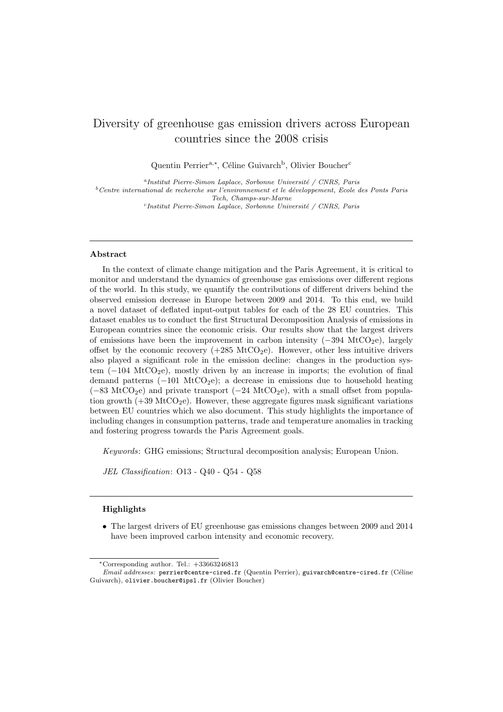# Diversity of greenhouse gas emission drivers across European countries since the 2008 crisis

Quentin Perrier<sup>a,\*</sup>, Céline Guivarch<sup>b</sup>, Olivier Boucher<sup>c</sup>

<sup>a</sup>Institut Pierre-Simon Laplace, Sorbonne Université / CNRS, Paris  $^{b}$ Centre international de recherche sur l'environnement et le développement, Ecole des Ponts Paris Tech, Champs-sur-Marne <sup>c</sup>Institut Pierre-Simon Laplace, Sorbonne Université / CNRS, Paris

#### Abstract

In the context of climate change mitigation and the Paris Agreement, it is critical to monitor and understand the dynamics of greenhouse gas emissions over different regions of the world. In this study, we quantify the contributions of different drivers behind the observed emission decrease in Europe between 2009 and 2014. To this end, we build a novel dataset of deflated input-output tables for each of the 28 EU countries. This dataset enables us to conduct the first Structural Decomposition Analysis of emissions in European countries since the economic crisis. Our results show that the largest drivers of emissions have been the improvement in carbon intensity  $(-394 \text{ MtCO}_2e)$ , largely offset by the economic recovery  $(+285 \text{ MtCO}_2e)$ . However, other less intuitive drivers also played a significant role in the emission decline: changes in the production system  $(-104 \text{ MtCO}_2)$ , mostly driven by an increase in imports; the evolution of final demand patterns  $(-101 \text{ MtCO}_2)$ ; a decrease in emissions due to household heating ( $-83$  MtCO<sub>2</sub>e) and private transport ( $-24$  MtCO<sub>2</sub>e), with a small offset from population growth  $(+39 \text{ MtCO}_2e)$ . However, these aggregate figures mask significant variations between EU countries which we also document. This study highlights the importance of including changes in consumption patterns, trade and temperature anomalies in tracking and fostering progress towards the Paris Agreement goals.

Keywords: GHG emissions; Structural decomposition analysis; European Union.

JEL Classification: O13 - Q40 - Q54 - Q58

#### Highlights

• The largest drivers of EU greenhouse gas emissions changes between 2009 and 2014 have been improved carbon intensity and economic recovery.

<sup>∗</sup>Corresponding author. Tel.: +33663246813

Email addresses: perrier@centre-cired.fr (Quentin Perrier), guivarch@centre-cired.fr (Céline Guivarch), olivier.boucher@ipsl.fr (Olivier Boucher)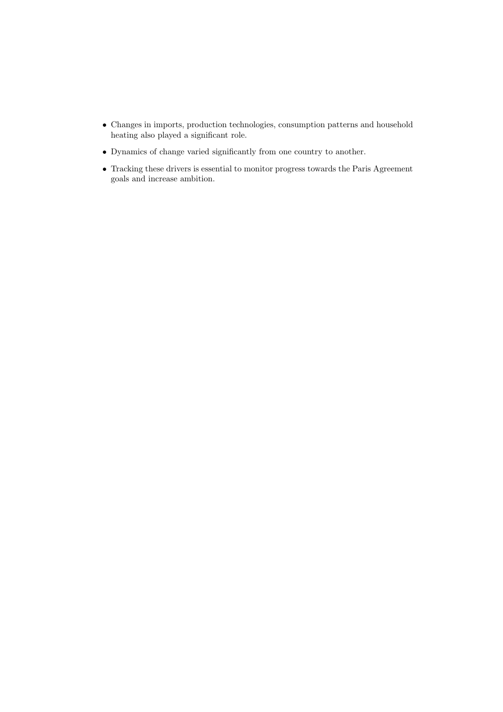- Changes in imports, production technologies, consumption patterns and household heating also played a significant role.
- Dynamics of change varied significantly from one country to another.
- Tracking these drivers is essential to monitor progress towards the Paris Agreement goals and increase ambition.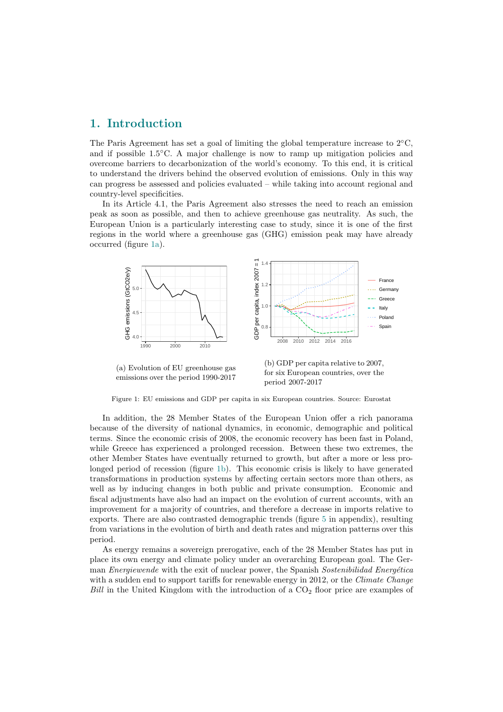# 1. Introduction

The Paris Agreement has set a goal of limiting the global temperature increase to  $2°C$ , and if possible  $1.5\degree C$ . A major challenge is now to ramp up mitigation policies and overcome barriers to decarbonization of the world's economy. To this end, it is critical to understand the drivers behind the observed evolution of emissions. Only in this way can progress be assessed and policies evaluated – while taking into account regional and country-level specificities.

In its Article 4.1, the Paris Agreement also stresses the need to reach an emission peak as soon as possible, and then to achieve greenhouse gas neutrality. As such, the European Union is a particularly interesting case to study, since it is one of the first regions in the world where a greenhouse gas (GHG) emission peak may have already occurred (figure [1a\)](#page-2-0).

<span id="page-2-0"></span>

(a) Evolution of EU greenhouse gas emissions over the period 1990-2017

(b) GDP per capita relative to 2007, for six European countries, over the period 2007-2017

Figure 1: EU emissions and GDP per capita in six European countries. Source: Eurostat

In addition, the 28 Member States of the European Union offer a rich panorama because of the diversity of national dynamics, in economic, demographic and political terms. Since the economic crisis of 2008, the economic recovery has been fast in Poland, while Greece has experienced a prolonged recession. Between these two extremes, the other Member States have eventually returned to growth, but after a more or less prolonged period of recession (figure [1b\)](#page-2-0). This economic crisis is likely to have generated transformations in production systems by affecting certain sectors more than others, as well as by inducing changes in both public and private consumption. Economic and fiscal adjustments have also had an impact on the evolution of current accounts, with an improvement for a majority of countries, and therefore a decrease in imports relative to exports. There are also contrasted demographic trends (figure [5](#page-18-0) in appendix), resulting from variations in the evolution of birth and death rates and migration patterns over this period.

As energy remains a sovereign prerogative, each of the 28 Member States has put in place its own energy and climate policy under an overarching European goal. The German *Energiewende* with the exit of nuclear power, the Spanish Sostenibilidad Energética with a sudden end to support tariffs for renewable energy in 2012, or the *Climate Change* Bill in the United Kingdom with the introduction of a  $CO<sub>2</sub>$  floor price are examples of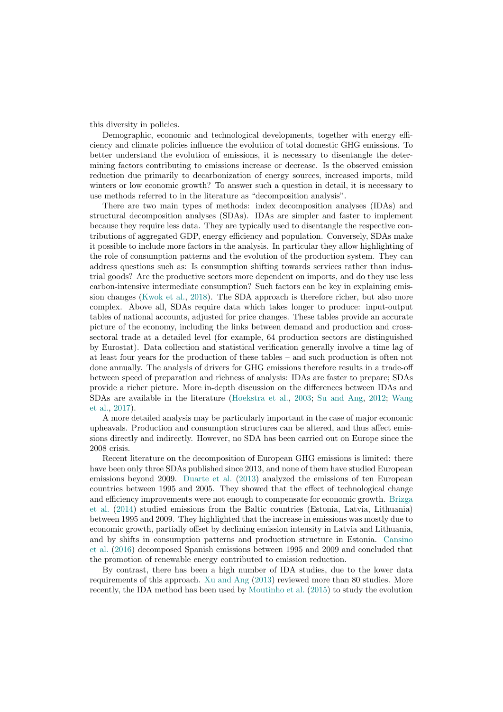this diversity in policies.

Demographic, economic and technological developments, together with energy efficiency and climate policies influence the evolution of total domestic GHG emissions. To better understand the evolution of emissions, it is necessary to disentangle the determining factors contributing to emissions increase or decrease. Is the observed emission reduction due primarily to decarbonization of energy sources, increased imports, mild winters or low economic growth? To answer such a question in detail, it is necessary to use methods referred to in the literature as "decomposition analysis".

There are two main types of methods: index decomposition analyses (IDAs) and structural decomposition analyses (SDAs). IDAs are simpler and faster to implement because they require less data. They are typically used to disentangle the respective contributions of aggregated GDP, energy efficiency and population. Conversely, SDAs make it possible to include more factors in the analysis. In particular they allow highlighting of the role of consumption patterns and the evolution of the production system. They can address questions such as: Is consumption shifting towards services rather than industrial goods? Are the productive sectors more dependent on imports, and do they use less carbon-intensive intermediate consumption? Such factors can be key in explaining emission changes [\(Kwok et al.,](#page-16-0) [2018\)](#page-16-0). The SDA approach is therefore richer, but also more complex. Above all, SDAs require data which takes longer to produce: input-output tables of national accounts, adjusted for price changes. These tables provide an accurate picture of the economy, including the links between demand and production and crosssectoral trade at a detailed level (for example, 64 production sectors are distinguished by Eurostat). Data collection and statistical verification generally involve a time lag of at least four years for the production of these tables – and such production is often not done annually. The analysis of drivers for GHG emissions therefore results in a trade-off between speed of preparation and richness of analysis: IDAs are faster to prepare; SDAs provide a richer picture. More in-depth discussion on the differences between IDAs and SDAs are available in the literature [\(Hoekstra et al.,](#page-16-1) [2003;](#page-16-1) [Su and Ang,](#page-17-0) [2012;](#page-17-0) [Wang](#page-17-1) [et al.,](#page-17-1) [2017\)](#page-17-1).

A more detailed analysis may be particularly important in the case of major economic upheavals. Production and consumption structures can be altered, and thus affect emissions directly and indirectly. However, no SDA has been carried out on Europe since the 2008 crisis.

Recent literature on the decomposition of European GHG emissions is limited: there have been only three SDAs published since 2013, and none of them have studied European emissions beyond 2009. [Duarte et al.](#page-16-2) [\(2013\)](#page-16-2) analyzed the emissions of ten European countries between 1995 and 2005. They showed that the effect of technological change and efficiency improvements were not enough to compensate for economic growth. [Brizga](#page-16-3) [et al.](#page-16-3) [\(2014\)](#page-16-3) studied emissions from the Baltic countries (Estonia, Latvia, Lithuania) between 1995 and 2009. They highlighted that the increase in emissions was mostly due to economic growth, partially offset by declining emission intensity in Latvia and Lithuania, and by shifts in consumption patterns and production structure in Estonia. [Cansino](#page-16-4) [et al.](#page-16-4) [\(2016\)](#page-16-4) decomposed Spanish emissions between 1995 and 2009 and concluded that the promotion of renewable energy contributed to emission reduction.

By contrast, there has been a high number of IDA studies, due to the lower data requirements of this approach. [Xu and Ang](#page-17-2) [\(2013\)](#page-17-2) reviewed more than 80 studies. More recently, the IDA method has been used by [Moutinho et al.](#page-17-3) [\(2015\)](#page-17-3) to study the evolution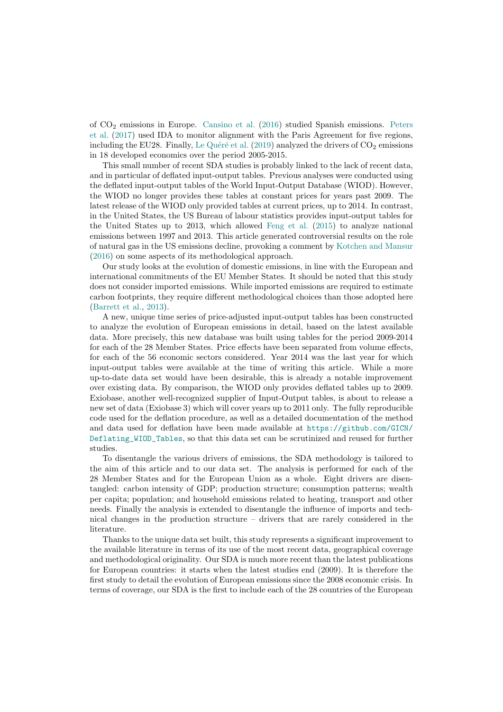of CO<sup>2</sup> emissions in Europe. [Cansino et al.](#page-16-4) [\(2016\)](#page-16-4) studied Spanish emissions. [Peters](#page-17-4) [et al.](#page-17-4) [\(2017\)](#page-17-4) used IDA to monitor alignment with the Paris Agreement for five regions, including the EU28. Finally, Le Quéré et al.  $(2019)$  analyzed the drivers of  $CO<sub>2</sub>$  emissions in 18 developed economics over the period 2005-2015.

This small number of recent SDA studies is probably linked to the lack of recent data, and in particular of deflated input-output tables. Previous analyses were conducted using the deflated input-output tables of the World Input-Output Database (WIOD). However, the WIOD no longer provides these tables at constant prices for years past 2009. The latest release of the WIOD only provided tables at current prices, up to 2014. In contrast, in the United States, the US Bureau of labour statistics provides input-output tables for the United States up to 2013, which allowed [Feng et al.](#page-16-6) [\(2015\)](#page-16-6) to analyze national emissions between 1997 and 2013. This article generated controversial results on the role of natural gas in the US emissions decline, provoking a comment by [Kotchen and Mansur](#page-16-7) [\(2016\)](#page-16-7) on some aspects of its methodological approach.

Our study looks at the evolution of domestic emissions, in line with the European and international commitments of the EU Member States. It should be noted that this study does not consider imported emissions. While imported emissions are required to estimate carbon footprints, they require different methodological choices than those adopted here [\(Barrett et al.,](#page-16-8) [2013\)](#page-16-8).

A new, unique time series of price-adjusted input-output tables has been constructed to analyze the evolution of European emissions in detail, based on the latest available data. More precisely, this new database was built using tables for the period 2009-2014 for each of the 28 Member States. Price effects have been separated from volume effects, for each of the 56 economic sectors considered. Year 2014 was the last year for which input-output tables were available at the time of writing this article. While a more up-to-date data set would have been desirable, this is already a notable improvement over existing data. By comparison, the WIOD only provides deflated tables up to 2009. Exiobase, another well-recognized supplier of Input-Output tables, is about to release a new set of data (Exiobase 3) which will cover years up to 2011 only. The fully reproducible code used for the deflation procedure, as well as a detailed documentation of the method and data used for deflation have been made available at [https://github.com/GICN/](https://github.com/GICN/Deflating_WIOD_Tables) [Deflating\\_WIOD\\_Tables](https://github.com/GICN/Deflating_WIOD_Tables), so that this data set can be scrutinized and reused for further studies.

To disentangle the various drivers of emissions, the SDA methodology is tailored to the aim of this article and to our data set. The analysis is performed for each of the 28 Member States and for the European Union as a whole. Eight drivers are disentangled: carbon intensity of GDP; production structure; consumption patterns; wealth per capita; population; and household emissions related to heating, transport and other needs. Finally the analysis is extended to disentangle the influence of imports and technical changes in the production structure – drivers that are rarely considered in the literature.

Thanks to the unique data set built, this study represents a significant improvement to the available literature in terms of its use of the most recent data, geographical coverage and methodological originality. Our SDA is much more recent than the latest publications for European countries: it starts when the latest studies end (2009). It is therefore the first study to detail the evolution of European emissions since the 2008 economic crisis. In terms of coverage, our SDA is the first to include each of the 28 countries of the European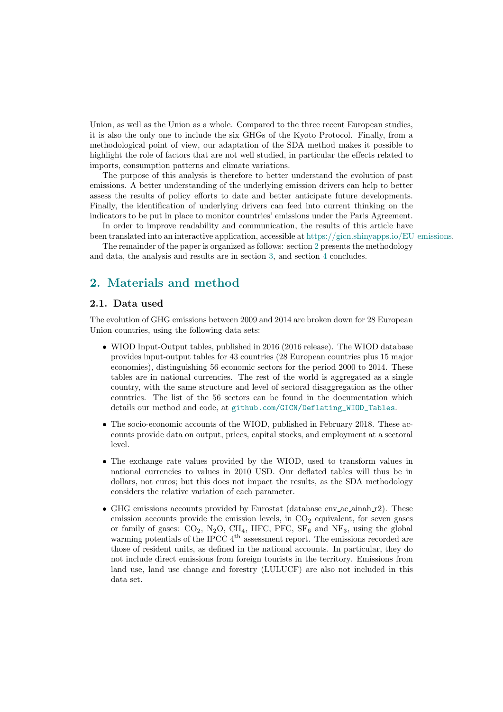Union, as well as the Union as a whole. Compared to the three recent European studies, it is also the only one to include the six GHGs of the Kyoto Protocol. Finally, from a methodological point of view, our adaptation of the SDA method makes it possible to highlight the role of factors that are not well studied, in particular the effects related to imports, consumption patterns and climate variations.

The purpose of this analysis is therefore to better understand the evolution of past emissions. A better understanding of the underlying emission drivers can help to better assess the results of policy efforts to date and better anticipate future developments. Finally, the identification of underlying drivers can feed into current thinking on the indicators to be put in place to monitor countries' emissions under the Paris Agreement.

In order to improve readability and communication, the results of this article have been translated into an interactive application, accessible at [https://gicn.shinyapps.io/EU](https://gicn.shinyapps.io/EU_emissions) emissions.

The remainder of the paper is organized as follows: section [2](#page-5-0) presents the methodology and data, the analysis and results are in section [3,](#page-8-0) and section [4](#page-12-0) concludes.

# <span id="page-5-0"></span>2. Materials and method

#### 2.1. Data used

The evolution of GHG emissions between 2009 and 2014 are broken down for 28 European Union countries, using the following data sets:

- WIOD Input-Output tables, published in 2016 (2016 release). The WIOD database provides input-output tables for 43 countries (28 European countries plus 15 major economies), distinguishing 56 economic sectors for the period 2000 to 2014. These tables are in national currencies. The rest of the world is aggregated as a single country, with the same structure and level of sectoral disaggregation as the other countries. The list of the 56 sectors can be found in the documentation which details our method and code, at [github.com/GICN/Deflating\\_WIOD\\_Tables](github.com/GICN/Deflating_WIOD_Tables).
- The socio-economic accounts of the WIOD, published in February 2018. These accounts provide data on output, prices, capital stocks, and employment at a sectoral level.
- The exchange rate values provided by the WIOD, used to transform values in national currencies to values in 2010 USD. Our deflated tables will thus be in dollars, not euros; but this does not impact the results, as the SDA methodology considers the relative variation of each parameter.
- GHG emissions accounts provided by Eurostat (database env ac ainah r2). These emission accounts provide the emission levels, in  $CO<sub>2</sub>$  equivalent, for seven gases or family of gases:  $CO_2$ , N<sub>2</sub>O, CH<sub>4</sub>, HFC, PFC, SF<sub>6</sub> and NF<sub>3</sub>, using the global warming potentials of the IPCC  $4<sup>th</sup>$  assessment report. The emissions recorded are those of resident units, as defined in the national accounts. In particular, they do not include direct emissions from foreign tourists in the territory. Emissions from land use, land use change and forestry (LULUCF) are also not included in this data set.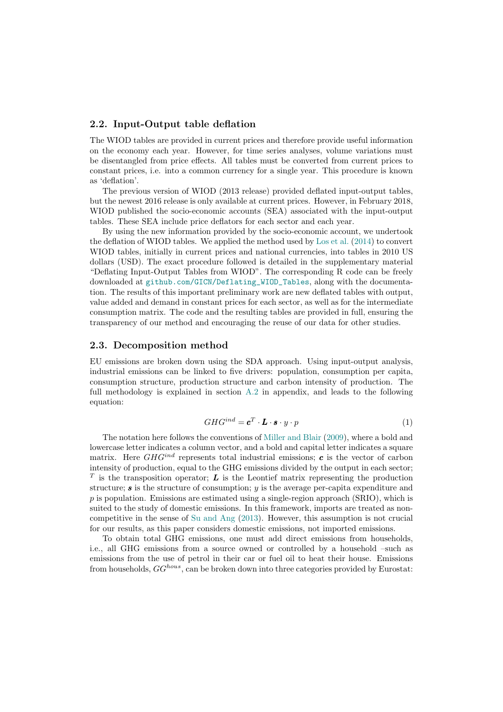### 2.2. Input-Output table deflation

The WIOD tables are provided in current prices and therefore provide useful information on the economy each year. However, for time series analyses, volume variations must be disentangled from price effects. All tables must be converted from current prices to constant prices, i.e. into a common currency for a single year. This procedure is known as 'deflation'.

The previous version of WIOD (2013 release) provided deflated input-output tables, but the newest 2016 release is only available at current prices. However, in February 2018, WIOD published the socio-economic accounts (SEA) associated with the input-output tables. These SEA include price deflators for each sector and each year.

By using the new information provided by the socio-economic account, we undertook the deflation of WIOD tables. We applied the method used by [Los et al.](#page-16-9) [\(2014\)](#page-16-9) to convert WIOD tables, initially in current prices and national currencies, into tables in 2010 US dollars (USD). The exact procedure followed is detailed in the supplementary material "Deflating Input-Output Tables from WIOD". The corresponding R code can be freely downloaded at [github.com/GICN/Deflating\\_WIOD\\_Tables](github.com/GICN/Deflating_WIOD_Tables), along with the documentation. The results of this important preliminary work are new deflated tables with output, value added and demand in constant prices for each sector, as well as for the intermediate consumption matrix. The code and the resulting tables are provided in full, ensuring the transparency of our method and encouraging the reuse of our data for other studies.

#### <span id="page-6-0"></span>2.3. Decomposition method

EU emissions are broken down using the SDA approach. Using input-output analysis, industrial emissions can be linked to five drivers: population, consumption per capita, consumption structure, production structure and carbon intensity of production. The full methodology is explained in section [A.2](#page-18-1) in appendix, and leads to the following equation:

$$
GHG^{ind} = \mathbf{c}^T \cdot \mathbf{L} \cdot \mathbf{s} \cdot y \cdot p \tag{1}
$$

The notation here follows the conventions of [Miller and Blair](#page-17-5) [\(2009\)](#page-17-5), where a bold and lowercase letter indicates a column vector, and a bold and capital letter indicates a square matrix. Here  $GHG^{ind}$  represents total industrial emissions;  $c$  is the vector of carbon intensity of production, equal to the GHG emissions divided by the output in each sector; <sup>T</sup> is the transposition operator;  $\boldsymbol{L}$  is the Leontief matrix representing the production structure;  $s$  is the structure of consumption;  $y$  is the average per-capita expenditure and  $p$  is population. Emissions are estimated using a single-region approach (SRIO), which is suited to the study of domestic emissions. In this framework, imports are treated as noncompetitive in the sense of [Su and Ang](#page-17-6) [\(2013\)](#page-17-6). However, this assumption is not crucial for our results, as this paper considers domestic emissions, not imported emissions.

To obtain total GHG emissions, one must add direct emissions from households, i.e., all GHG emissions from a source owned or controlled by a household –such as emissions from the use of petrol in their car or fuel oil to heat their house. Emissions from households,  $GG^{hous}$ , can be broken down into three categories provided by Eurostat: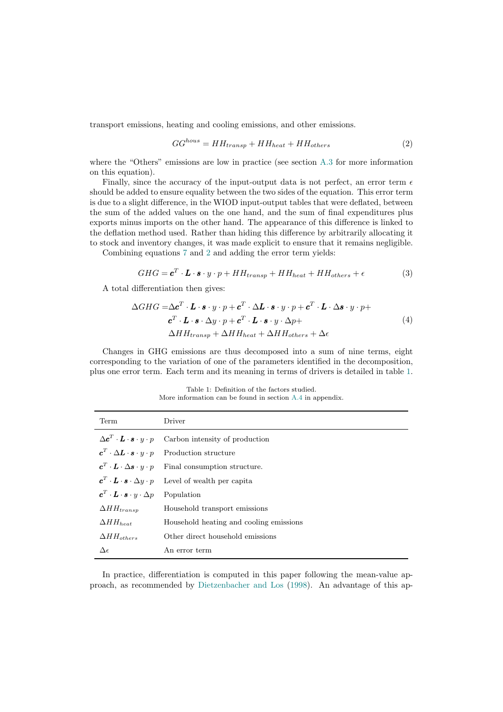transport emissions, heating and cooling emissions, and other emissions.

<span id="page-7-0"></span>
$$
GG^{house} = HH_{transport} + HH_{heat} + HH_{others}
$$
\n<sup>(2)</sup>

where the "Others" emissions are low in practice (see section [A.3](#page-19-0) for more information on this equation).

Finally, since the accuracy of the input-output data is not perfect, an error term  $\epsilon$ should be added to ensure equality between the two sides of the equation. This error term is due to a slight difference, in the WIOD input-output tables that were deflated, between the sum of the added values on the one hand, and the sum of final expenditures plus exports minus imports on the other hand. The appearance of this difference is linked to the deflation method used. Rather than hiding this difference by arbitrarily allocating it to stock and inventory changes, it was made explicit to ensure that it remains negligible.

Combining equations [7](#page-19-1) and [2](#page-7-0) and adding the error term yields:

$$
GHG = \mathbf{c}^T \cdot \mathbf{L} \cdot \mathbf{s} \cdot y \cdot p + HH_{transport} + HH_{heat} + HH_{others} + \epsilon
$$
\n(3)

A total differentiation then gives:

$$
\Delta GHG = \Delta \mathbf{c}^T \cdot \mathbf{L} \cdot \mathbf{s} \cdot y \cdot p + \mathbf{c}^T \cdot \Delta \mathbf{L} \cdot \mathbf{s} \cdot y \cdot p + \mathbf{c}^T \cdot \mathbf{L} \cdot \Delta \mathbf{s} \cdot y \cdot p + \mathbf{c}^T \cdot \mathbf{L} \cdot \mathbf{s} \cdot \Delta y \cdot p + \mathbf{c}^T \cdot \mathbf{L} \cdot \mathbf{s} \cdot y \cdot \Delta p + \Delta H H_{transp} + \Delta H H_{heat} + \Delta H H_{others} + \Delta \epsilon
$$
\n(4)

Changes in GHG emissions are thus decomposed into a sum of nine terms, eight corresponding to the variation of one of the parameters identified in the decomposition, plus one error term. Each term and its meaning in terms of drivers is detailed in table [1.](#page-7-1)

<span id="page-7-1"></span>Term Driver  $\Delta \boldsymbol{c}^T$ Carbon intensity of production  $\boldsymbol{c}^T$ Production structure  $\boldsymbol{c}^T$ Final consumption structure.  $\boldsymbol{c}^T$ Level of wealth per capita  $\boldsymbol{c}^T \cdot \boldsymbol{L} \cdot \boldsymbol{s} \cdot y \cdot \Delta p$  Population  $\Delta H H_{transp}$  Household transport emissions  $\Delta H H_{heat}$  Household heating and cooling emissions  $\Delta H H_{others}$  Other direct household emissions  $\Delta \epsilon$  An error term

<span id="page-7-2"></span>Table 1: Definition of the factors studied. More information can be found in section [A.4](#page-19-2) in appendix.

In practice, differentiation is computed in this paper following the mean-value approach, as recommended by [Dietzenbacher and Los](#page-16-10) [\(1998\)](#page-16-10). An advantage of this ap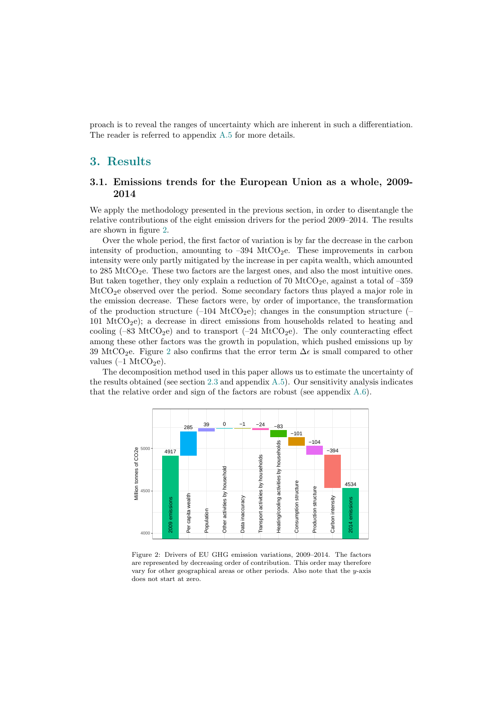proach is to reveal the ranges of uncertainty which are inherent in such a differentiation. The reader is referred to appendix [A.5](#page-19-3) for more details.

## <span id="page-8-0"></span>3. Results

## <span id="page-8-2"></span>3.1. Emissions trends for the European Union as a whole, 2009- 2014

We apply the methodology presented in the previous section, in order to disentangle the relative contributions of the eight emission drivers for the period 2009–2014. The results are shown in figure [2.](#page-8-1)

Over the whole period, the first factor of variation is by far the decrease in the carbon intensity of production, amounting to  $-394$  MtCO<sub>2</sub>e. These improvements in carbon intensity were only partly mitigated by the increase in per capita wealth, which amounted to 285 MtCO<sub>2</sub>e. These two factors are the largest ones, and also the most intuitive ones. But taken together, they only explain a reduction of 70 MtCO<sub>2</sub>e, against a total of -359 MtCO2e observed over the period. Some secondary factors thus played a major role in the emission decrease. These factors were, by order of importance, the transformation of the production structure  $(-104 \text{ MtCO}_2\text{e})$ ; changes in the consumption structure  $(-104 \text{ MtCO}_2\text{e})$ 101 MtCO<sub>2</sub>e); a decrease in direct emissions from households related to heating and cooling  $(-83 \text{ MtCO}_2)$  and to transport  $(-24 \text{ MtCO}_2)$ . The only counteracting effect among these other factors was the growth in population, which pushed emissions up by 39 MtCO<sub>[2](#page-8-1)</sub>e. Figure 2 also confirms that the error term  $\Delta \epsilon$  is small compared to other values  $(-1 \text{ MtCO}_2e)$ .

<span id="page-8-1"></span>The decomposition method used in this paper allows us to estimate the uncertainty of the results obtained (see section [2.3](#page-6-0) and appendix [A.5\)](#page-19-3). Our sensitivity analysis indicates that the relative order and sign of the factors are robust (see appendix [A.6\)](#page-21-0).



Figure 2: Drivers of EU GHG emission variations, 2009–2014. The factors are represented by decreasing order of contribution. This order may therefore vary for other geographical areas or other periods. Also note that the y-axis does not start at zero.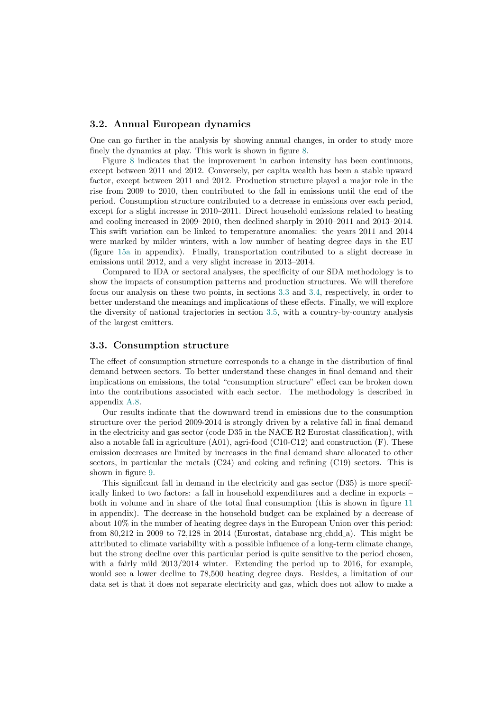### <span id="page-9-1"></span>3.2. Annual European dynamics

One can go further in the analysis by showing annual changes, in order to study more finely the dynamics at play. This work is shown in figure [8.](#page-23-0)

Figure [8](#page-23-0) indicates that the improvement in carbon intensity has been continuous, except between 2011 and 2012. Conversely, per capita wealth has been a stable upward factor, except between 2011 and 2012. Production structure played a major role in the rise from 2009 to 2010, then contributed to the fall in emissions until the end of the period. Consumption structure contributed to a decrease in emissions over each period, except for a slight increase in 2010–2011. Direct household emissions related to heating and cooling increased in 2009–2010, then declined sharply in 2010–2011 and 2013–2014. This swift variation can be linked to temperature anomalies: the years 2011 and 2014 were marked by milder winters, with a low number of heating degree days in the EU (figure [15a](#page-27-0) in appendix). Finally, transportation contributed to a slight decrease in emissions until 2012, and a very slight increase in 2013–2014.

Compared to IDA or sectoral analyses, the specificity of our SDA methodology is to show the impacts of consumption patterns and production structures. We will therefore focus our analysis on these two points, in sections [3.3](#page-9-0) and [3.4,](#page-10-0) respectively, in order to better understand the meanings and implications of these effects. Finally, we will explore the diversity of national trajectories in section [3.5,](#page-10-1) with a country-by-country analysis of the largest emitters.

#### <span id="page-9-0"></span>3.3. Consumption structure

The effect of consumption structure corresponds to a change in the distribution of final demand between sectors. To better understand these changes in final demand and their implications on emissions, the total "consumption structure" effect can be broken down into the contributions associated with each sector. The methodology is described in appendix [A.8.](#page-23-1)

Our results indicate that the downward trend in emissions due to the consumption structure over the period 2009-2014 is strongly driven by a relative fall in final demand in the electricity and gas sector (code D35 in the NACE R2 Eurostat classification), with also a notable fall in agriculture (A01), agri-food (C10-C12) and construction (F). These emission decreases are limited by increases in the final demand share allocated to other sectors, in particular the metals (C24) and coking and refining (C19) sectors. This is shown in figure [9.](#page-24-0)

This significant fall in demand in the electricity and gas sector (D35) is more specifically linked to two factors: a fall in household expenditures and a decline in exports – both in volume and in share of the total final consumption (this is shown in figure [11](#page-25-0) in appendix). The decrease in the household budget can be explained by a decrease of about 10% in the number of heating degree days in the European Union over this period: from 80,212 in 2009 to 72,128 in 2014 (Eurostat, database nrg chdd a). This might be attributed to climate variability with a possible influence of a long-term climate change, but the strong decline over this particular period is quite sensitive to the period chosen, with a fairly mild  $2013/2014$  winter. Extending the period up to 2016, for example, would see a lower decline to 78,500 heating degree days. Besides, a limitation of our data set is that it does not separate electricity and gas, which does not allow to make a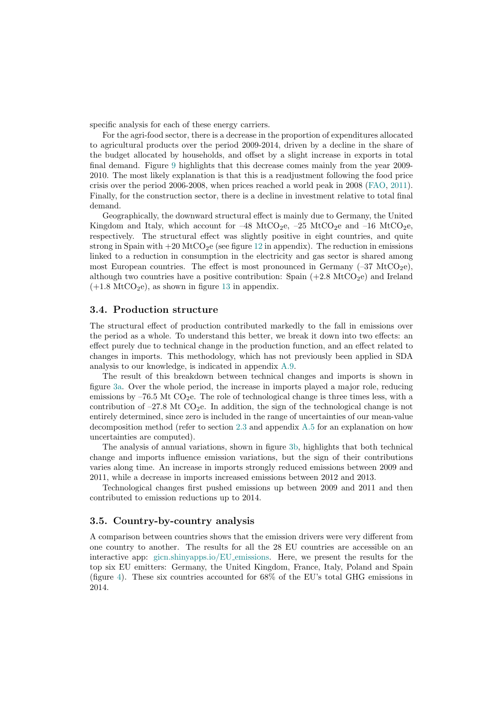specific analysis for each of these energy carriers.

For the agri-food sector, there is a decrease in the proportion of expenditures allocated to agricultural products over the period 2009-2014, driven by a decline in the share of the budget allocated by households, and offset by a slight increase in exports in total final demand. Figure [9](#page-24-0) highlights that this decrease comes mainly from the year 2009- 2010. The most likely explanation is that this is a readjustment following the food price crisis over the period 2006-2008, when prices reached a world peak in 2008 [\(FAO,](#page-16-11) [2011\)](#page-16-11). Finally, for the construction sector, there is a decline in investment relative to total final demand.

Geographically, the downward structural effect is mainly due to Germany, the United Kingdom and Italy, which account for  $-48 \text{ MtCO}_2$ e,  $-25 \text{ MtCO}_2$ e and  $-16 \text{ MtCO}_2$ e, respectively. The structural effect was slightly positive in eight countries, and quite strong in Spain with  $+20 \text{ MtCO}_2$  (see figure [12](#page-25-1) in appendix). The reduction in emissions linked to a reduction in consumption in the electricity and gas sector is shared among most European countries. The effect is most pronounced in Germany  $(-37 \text{ MtCO}_2\text{e})$ , although two countries have a positive contribution: Spain  $(+2.8 \text{ MtCO}_2e)$  and Ireland  $(+1.8 \text{ MtCO}_2e)$ , as shown in figure [13](#page-25-2) in appendix.

### <span id="page-10-0"></span>3.4. Production structure

The structural effect of production contributed markedly to the fall in emissions over the period as a whole. To understand this better, we break it down into two effects: an effect purely due to technical change in the production function, and an effect related to changes in imports. This methodology, which has not previously been applied in SDA analysis to our knowledge, is indicated in appendix [A.9.](#page-26-0)

The result of this breakdown between technical changes and imports is shown in figure [3a.](#page-11-0) Over the whole period, the increase in imports played a major role, reducing emissions by  $-76.5$  Mt  $CO<sub>2</sub>e$ . The role of technological change is three times less, with a contribution of  $-27.8$  Mt CO<sub>2</sub>e. In addition, the sign of the technological change is not entirely determined, since zero is included in the range of uncertainties of our mean-value decomposition method (refer to section [2.3](#page-6-0) and appendix [A.5](#page-19-3) for an explanation on how uncertainties are computed).

The analysis of annual variations, shown in figure [3b,](#page-11-0) highlights that both technical change and imports influence emission variations, but the sign of their contributions varies along time. An increase in imports strongly reduced emissions between 2009 and 2011, while a decrease in imports increased emissions between 2012 and 2013.

Technological changes first pushed emissions up between 2009 and 2011 and then contributed to emission reductions up to 2014.

### <span id="page-10-1"></span>3.5. Country-by-country analysis

A comparison between countries shows that the emission drivers were very different from one country to another. The results for all the 28 EU countries are accessible on an interactive app: [gicn.shinyapps.io/EU](https://gicn.shinyapps.io/EU_emissions/) emissions. Here, we present the results for the top six EU emitters: Germany, the United Kingdom, France, Italy, Poland and Spain (figure [4\)](#page-12-1). These six countries accounted for 68% of the EU's total GHG emissions in 2014.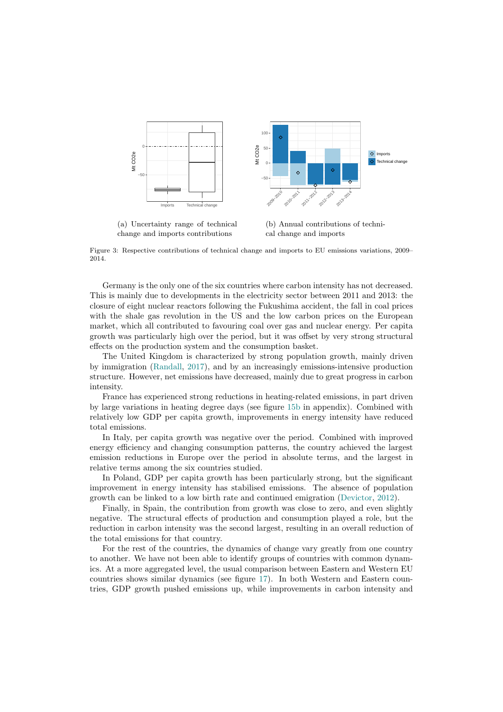<span id="page-11-0"></span>

(a) Uncertainty range of technical change and imports contributions

(b) Annual contributions of technical change and imports

Figure 3: Respective contributions of technical change and imports to EU emissions variations, 2009– 2014.

Germany is the only one of the six countries where carbon intensity has not decreased. This is mainly due to developments in the electricity sector between 2011 and 2013: the closure of eight nuclear reactors following the Fukushima accident, the fall in coal prices with the shale gas revolution in the US and the low carbon prices on the European market, which all contributed to favouring coal over gas and nuclear energy. Per capita growth was particularly high over the period, but it was offset by very strong structural effects on the production system and the consumption basket.

The United Kingdom is characterized by strong population growth, mainly driven by immigration [\(Randall,](#page-17-7) [2017\)](#page-17-7), and by an increasingly emissions-intensive production structure. However, net emissions have decreased, mainly due to great progress in carbon intensity.

France has experienced strong reductions in heating-related emissions, in part driven by large variations in heating degree days (see figure [15b](#page-27-0) in appendix). Combined with relatively low GDP per capita growth, improvements in energy intensity have reduced total emissions.

In Italy, per capita growth was negative over the period. Combined with improved energy efficiency and changing consumption patterns, the country achieved the largest emission reductions in Europe over the period in absolute terms, and the largest in relative terms among the six countries studied.

In Poland, GDP per capita growth has been particularly strong, but the significant improvement in energy intensity has stabilised emissions. The absence of population growth can be linked to a low birth rate and continued emigration [\(Devictor,](#page-16-12) [2012\)](#page-16-12).

Finally, in Spain, the contribution from growth was close to zero, and even slightly negative. The structural effects of production and consumption played a role, but the reduction in carbon intensity was the second largest, resulting in an overall reduction of the total emissions for that country.

For the rest of the countries, the dynamics of change vary greatly from one country to another. We have not been able to identify groups of countries with common dynamics. At a more aggregated level, the usual comparison between Eastern and Western EU countries shows similar dynamics (see figure [17\)](#page-28-0). In both Western and Eastern countries, GDP growth pushed emissions up, while improvements in carbon intensity and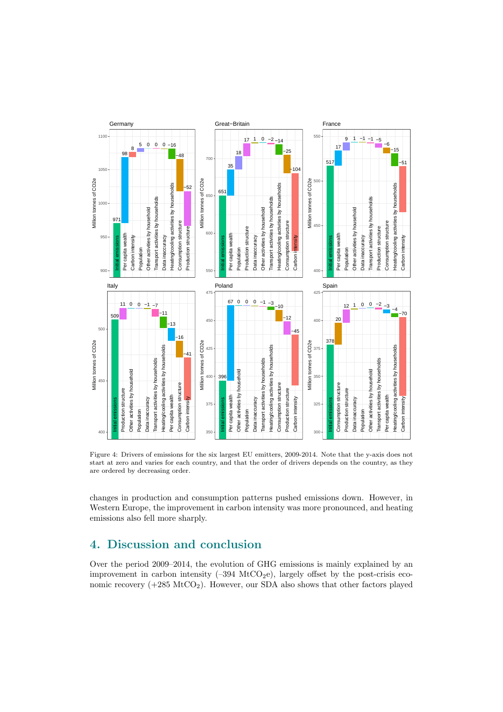<span id="page-12-1"></span>

Figure 4: Drivers of emissions for the six largest EU emitters, 2009-2014. Note that the y-axis does not start at zero and varies for each country, and that the order of drivers depends on the country, as they are ordered by decreasing order.

changes in production and consumption patterns pushed emissions down. However, in Western Europe, the improvement in carbon intensity was more pronounced, and heating emissions also fell more sharply.

# <span id="page-12-0"></span>4. Discussion and conclusion

Over the period 2009–2014, the evolution of GHG emissions is mainly explained by an improvement in carbon intensity  $(-394 \text{ MtCO}_2e)$ , largely offset by the post-crisis economic recovery  $(+285 \text{ MtCO}_2)$ . However, our SDA also shows that other factors played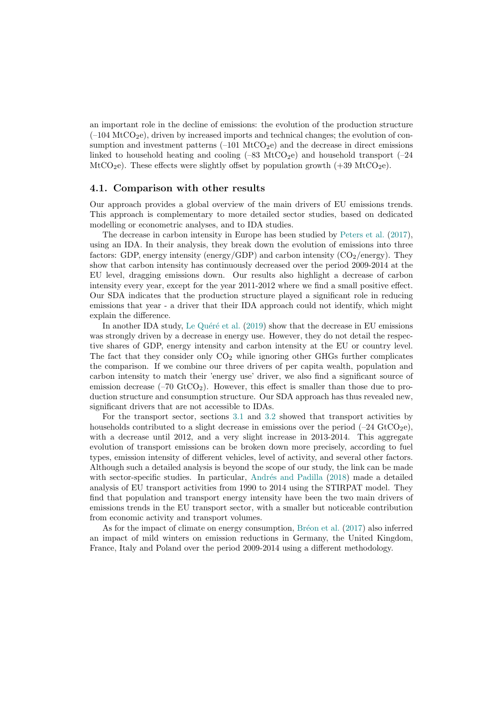an important role in the decline of emissions: the evolution of the production structure  $(-104 \text{ MtCO}_2)$ , driven by increased imports and technical changes; the evolution of consumption and investment patterns  $(-101 \text{ MtCO}_2)$  and the decrease in direct emissions linked to household heating and cooling  $(-83 \text{ MtCO}_2e)$  and household transport  $(-24$ MtCO<sub>2</sub>e). These effects were slightly offset by population growth  $(+39 \text{ MtCO}_2\text{e})$ .

#### <span id="page-13-0"></span>4.1. Comparison with other results

Our approach provides a global overview of the main drivers of EU emissions trends. This approach is complementary to more detailed sector studies, based on dedicated modelling or econometric analyses, and to IDA studies.

The decrease in carbon intensity in Europe has been studied by [Peters et al.](#page-17-4) [\(2017\)](#page-17-4), using an IDA. In their analysis, they break down the evolution of emissions into three factors: GDP, energy intensity (energy/GDP) and carbon intensity  $(CO<sub>2</sub>/energy)$ . They show that carbon intensity has continuously decreased over the period 2009-2014 at the EU level, dragging emissions down. Our results also highlight a decrease of carbon intensity every year, except for the year 2011-2012 where we find a small positive effect. Our SDA indicates that the production structure played a significant role in reducing emissions that year - a driver that their IDA approach could not identify, which might explain the difference.

In another IDA study, Le Quéré et al. [\(2019\)](#page-16-5) show that the decrease in EU emissions was strongly driven by a decrease in energy use. However, they do not detail the respective shares of GDP, energy intensity and carbon intensity at the EU or country level. The fact that they consider only  $CO<sub>2</sub>$  while ignoring other GHGs further complicates the comparison. If we combine our three drivers of per capita wealth, population and carbon intensity to match their 'energy use' driver, we also find a significant source of emission decrease  $(-70 \text{ GtCO}_2)$ . However, this effect is smaller than those due to production structure and consumption structure. Our SDA approach has thus revealed new, significant drivers that are not accessible to IDAs.

For the transport sector, sections [3.1](#page-8-2) and [3.2](#page-9-1) showed that transport activities by households contributed to a slight decrease in emissions over the period  $(-24 \text{ GtCO}_2\text{e})$ , with a decrease until 2012, and a very slight increase in 2013-2014. This aggregate evolution of transport emissions can be broken down more precisely, according to fuel types, emission intensity of different vehicles, level of activity, and several other factors. Although such a detailed analysis is beyond the scope of our study, the link can be made with sector-specific studies. In particular, Andrés and Padilla [\(2018\)](#page-16-13) made a detailed analysis of EU transport activities from 1990 to 2014 using the STIRPAT model. They find that population and transport energy intensity have been the two main drivers of emissions trends in the EU transport sector, with a smaller but noticeable contribution from economic activity and transport volumes.

As for the impact of climate on energy consumption, Bréon et al.  $(2017)$  also inferred an impact of mild winters on emission reductions in Germany, the United Kingdom, France, Italy and Poland over the period 2009-2014 using a different methodology.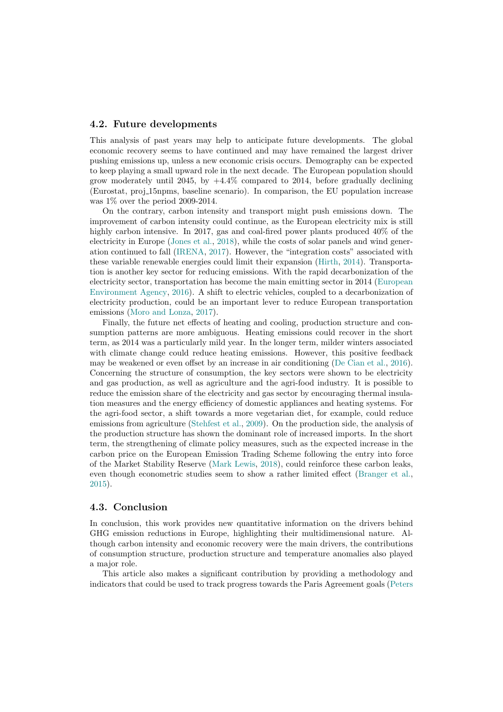### 4.2. Future developments

This analysis of past years may help to anticipate future developments. The global economic recovery seems to have continued and may have remained the largest driver pushing emissions up, unless a new economic crisis occurs. Demography can be expected to keep playing a small upward role in the next decade. The European population should grow moderately until 2045, by  $+4.4\%$  compared to 2014, before gradually declining (Eurostat, proj 15npms, baseline scenario). In comparison, the EU population increase was 1% over the period 2009-2014.

On the contrary, carbon intensity and transport might push emissions down. The improvement of carbon intensity could continue, as the European electricity mix is still highly carbon intensive. In 2017, gas and coal-fired power plants produced  $40\%$  of the electricity in Europe [\(Jones et al.,](#page-16-15) [2018\)](#page-16-15), while the costs of solar panels and wind generation continued to fall [\(IRENA,](#page-16-16) [2017\)](#page-16-16). However, the "integration costs" associated with these variable renewable energies could limit their expansion [\(Hirth,](#page-16-17) [2014\)](#page-16-17). Transportation is another key sector for reducing emissions. With the rapid decarbonization of the electricity sector, transportation has become the main emitting sector in 2014 [\(European](#page-16-18) [Environment Agency,](#page-16-18) [2016\)](#page-16-18). A shift to electric vehicles, coupled to a decarbonization of electricity production, could be an important lever to reduce European transportation emissions [\(Moro and Lonza,](#page-17-8) [2017\)](#page-17-8).

Finally, the future net effects of heating and cooling, production structure and consumption patterns are more ambiguous. Heating emissions could recover in the short term, as 2014 was a particularly mild year. In the longer term, milder winters associated with climate change could reduce heating emissions. However, this positive feedback may be weakened or even offset by an increase in air conditioning [\(De Cian et al.,](#page-16-19) [2016\)](#page-16-19). Concerning the structure of consumption, the key sectors were shown to be electricity and gas production, as well as agriculture and the agri-food industry. It is possible to reduce the emission share of the electricity and gas sector by encouraging thermal insulation measures and the energy efficiency of domestic appliances and heating systems. For the agri-food sector, a shift towards a more vegetarian diet, for example, could reduce emissions from agriculture [\(Stehfest et al.,](#page-17-9) [2009\)](#page-17-9). On the production side, the analysis of the production structure has shown the dominant role of increased imports. In the short term, the strengthening of climate policy measures, such as the expected increase in the carbon price on the European Emission Trading Scheme following the entry into force of the Market Stability Reserve [\(Mark Lewis,](#page-17-10) [2018\)](#page-17-10), could reinforce these carbon leaks, even though econometric studies seem to show a rather limited effect [\(Branger et al.,](#page-16-20) [2015\)](#page-16-20).

#### 4.3. Conclusion

In conclusion, this work provides new quantitative information on the drivers behind GHG emission reductions in Europe, highlighting their multidimensional nature. Although carbon intensity and economic recovery were the main drivers, the contributions of consumption structure, production structure and temperature anomalies also played a major role.

This article also makes a significant contribution by providing a methodology and indicators that could be used to track progress towards the Paris Agreement goals [\(Peters](#page-17-4)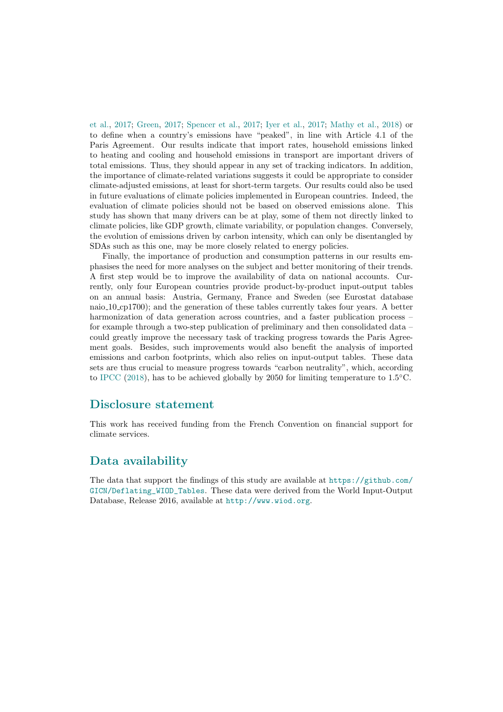[et al.,](#page-17-4) [2017;](#page-17-4) [Green,](#page-16-21) [2017;](#page-16-21) [Spencer et al.,](#page-17-11) [2017;](#page-17-11) [Iyer et al.,](#page-16-22) [2017;](#page-16-22) [Mathy et al.,](#page-17-12) [2018\)](#page-17-12) or to define when a country's emissions have "peaked", in line with Article 4.1 of the Paris Agreement. Our results indicate that import rates, household emissions linked to heating and cooling and household emissions in transport are important drivers of total emissions. Thus, they should appear in any set of tracking indicators. In addition, the importance of climate-related variations suggests it could be appropriate to consider climate-adjusted emissions, at least for short-term targets. Our results could also be used in future evaluations of climate policies implemented in European countries. Indeed, the evaluation of climate policies should not be based on observed emissions alone. This study has shown that many drivers can be at play, some of them not directly linked to climate policies, like GDP growth, climate variability, or population changes. Conversely, the evolution of emissions driven by carbon intensity, which can only be disentangled by SDAs such as this one, may be more closely related to energy policies.

Finally, the importance of production and consumption patterns in our results emphasises the need for more analyses on the subject and better monitoring of their trends. A first step would be to improve the availability of data on national accounts. Currently, only four European countries provide product-by-product input-output tables on an annual basis: Austria, Germany, France and Sweden (see Eurostat database naio 10 cp1700); and the generation of these tables currently takes four years. A better harmonization of data generation across countries, and a faster publication process – for example through a two-step publication of preliminary and then consolidated data – could greatly improve the necessary task of tracking progress towards the Paris Agreement goals. Besides, such improvements would also benefit the analysis of imported emissions and carbon footprints, which also relies on input-output tables. These data sets are thus crucial to measure progress towards "carbon neutrality", which, according to [IPCC](#page-16-23) [\(2018\)](#page-16-23), has to be achieved globally by 2050 for limiting temperature to  $1.5\textdegree C$ .

# Disclosure statement

This work has received funding from the French Convention on financial support for climate services.

# Data availability

The data that support the findings of this study are available at [https://github.com/](https://github.com/GICN/Deflating_WIOD_Tables) [GICN/Deflating\\_WIOD\\_Tables](https://github.com/GICN/Deflating_WIOD_Tables). These data were derived from the World Input-Output Database, Release 2016, available at <http://www.wiod.org>.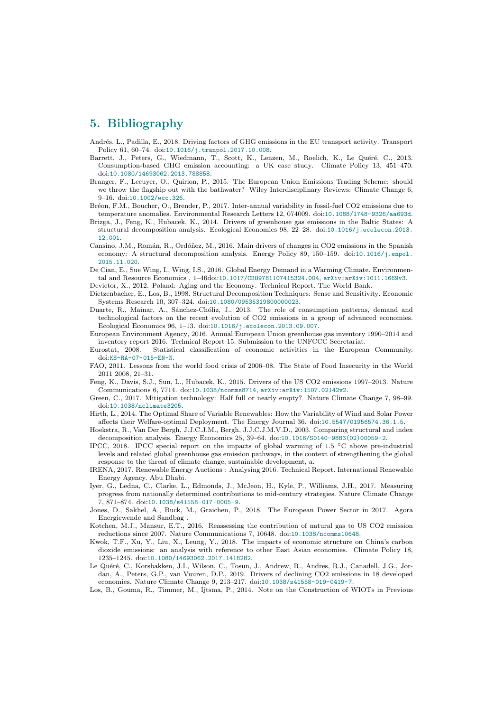# 5. Bibliography

- <span id="page-16-13"></span>Andrés, L., Padilla, E., 2018. Driving factors of GHG emissions in the EU transport activity. Transport Policy 61, 60–74. doi:[10.1016/j.tranpol.2017.10.008](http://dx.doi.org/10.1016/j.tranpol.2017.10.008).
- <span id="page-16-8"></span>Barrett, J., Peters, G., Wiedmann, T., Scott, K., Lenzen, M., Roelich, K., Le Quéré, C., 2013. Consumption-based GHG emission accounting: a UK case study. Climate Policy 13, 451–470. doi:[10.1080/14693062.2013.788858](http://dx.doi.org/10.1080/14693062.2013.788858).
- <span id="page-16-20"></span>Branger, F., Lecuyer, O., Quirion, P., 2015. The European Union Emissions Trading Scheme: should we throw the flagship out with the bathwater? Wiley Interdisciplinary Reviews: Climate Change 6, 9–16. doi:[10.1002/wcc.326](http://dx.doi.org/10.1002/wcc.326).
- <span id="page-16-14"></span>Bréon, F.M., Boucher, O., Brender, P., 2017. Inter-annual variability in fossil-fuel CO2 emissions due to temperature anomalies. Environmental Research Letters 12, 074009. doi:[10.1088/1748-9326/aa693d](http://dx.doi.org/10.1088/1748-9326/aa693d).
- <span id="page-16-3"></span>Brizga, J., Feng, K., Hubacek, K., 2014. Drivers of greenhouse gas emissions in the Baltic States: A structural decomposition analysis. Ecological Economics 98, 22–28. doi:[10.1016/j.ecolecon.2013.](http://dx.doi.org/10.1016/j.ecolecon.2013.12.001) [12.001](http://dx.doi.org/10.1016/j.ecolecon.2013.12.001).
- <span id="page-16-4"></span>Cansino, J.M., Román, R., Ordóñez, M., 2016. Main drivers of changes in CO2 emissions in the Spanish economy: A structural decomposition analysis. Energy Policy 89, 150-159. doi:[10.1016/j.enpol.](http://dx.doi.org/10.1016/j.enpol.2015.11.020) [2015.11.020](http://dx.doi.org/10.1016/j.enpol.2015.11.020).
- <span id="page-16-19"></span>De Cian, E., Sue Wing, I., Wing, I.S., 2016. Global Energy Demand in a Warming Climate. Environmental and Resource Economics , 1–46doi:[10.1017/CBO9781107415324.004](http://dx.doi.org/10.1017/CBO9781107415324.004), [arXiv:arXiv:1011.1669v3](http://arxiv.org/abs/arXiv:1011.1669v3).
- <span id="page-16-12"></span>Devictor, X., 2012. Poland: Aging and the Economy. Technical Report. The World Bank.
- <span id="page-16-10"></span>Dietzenbacher, E., Los, B., 1998. Structural Decomposition Techniques: Sense and Sensitivity. Economic Systems Research 10, 307–324. doi:[10.1080/09535319800000023](http://dx.doi.org/10.1080/09535319800000023).
- <span id="page-16-2"></span>Duarte, R., Mainar, A., Sánchez-Chóliz, J., 2013. The role of consumption patterns, demand and technological factors on the recent evolution of CO2 emissions in a group of advanced economies. Ecological Economics 96, 1–13. doi:[10.1016/j.ecolecon.2013.09.007](http://dx.doi.org/10.1016/j.ecolecon.2013.09.007).
- <span id="page-16-18"></span>European Environment Agency, 2016. Annual European Union greenhouse gas inventory 1990–2014 and inventory report 2016. Technical Report 15. Submission to the UNFCCC Secretariat.
- <span id="page-16-24"></span>Eurostat, 2008. Statistical classification of economic activities in the European Community. doi:[KS-RA-07-015-EN-N](http://dx.doi.org/KS-RA-07-015-EN-N).
- <span id="page-16-11"></span>FAO, 2011. Lessons from the world food crisis of 2006–08. The State of Food Insecurity in the World 2011 2008, 21–31.
- <span id="page-16-6"></span>Feng, K., Davis, S.J., Sun, L., Hubacek, K., 2015. Drivers of the US CO2 emissions 1997–2013. Nature Communications 6, 7714. doi:[10.1038/ncomms8714](http://dx.doi.org/10.1038/ncomms8714), [arXiv:arXiv:1507.02142v2](http://arxiv.org/abs/arXiv:1507.02142v2).
- <span id="page-16-21"></span>Green, C., 2017. Mitigation technology: Half full or nearly empty? Nature Climate Change 7, 98–99. doi:[10.1038/nclimate3205](http://dx.doi.org/10.1038/nclimate3205).
- <span id="page-16-17"></span>Hirth, L., 2014. The Optimal Share of Variable Renewables: How the Variability of Wind and Solar Power affects their Welfare-optimal Deployment. The Energy Journal 36. doi:[10.5547/01956574.36.1.5](http://dx.doi.org/10.5547/01956574.36.1.5).
- <span id="page-16-1"></span>Hoekstra, R., Van Der Bergh, J.J.C.J.M., Bergh, J.J.C.J.M.V.D., 2003. Comparing structural and index decomposition analysis. Energy Economics 25, 39–64. doi:[10.1016/S0140-9883\(02\)00059-2](http://dx.doi.org/10.1016/S0140-9883(02)00059-2).
- <span id="page-16-23"></span>IPCC, 2018. IPCC special report on the impacts of global warming of 1.5  $°C$  above pre-industrial levels and related global greenhouse gas emission pathways, in the context of strengthening the global response to the threat of climate change, sustainable development, a.
- <span id="page-16-16"></span>IRENA, 2017. Renewable Energy Auctions : Analysing 2016. Technical Report. International Renewable Energy Agency. Abu Dhabi.
- <span id="page-16-22"></span>Iyer, G., Ledna, C., Clarke, L., Edmonds, J., McJeon, H., Kyle, P., Williams, J.H., 2017. Measuring progress from nationally determined contributions to mid-century strategies. Nature Climate Change 7, 871–874. doi:[10.1038/s41558-017-0005-9](http://dx.doi.org/10.1038/s41558-017-0005-9).
- <span id="page-16-15"></span>Jones, D., Sakhel, A., Buck, M., Graichen, P., 2018. The European Power Sector in 2017. Agora Energiewende and Sandbag .
- <span id="page-16-7"></span>Kotchen, M.J., Mansur, E.T., 2016. Reassessing the contribution of natural gas to US CO2 emission reductions since 2007. Nature Communications 7, 10648. doi:[10.1038/ncomms10648](http://dx.doi.org/10.1038/ncomms10648).
- <span id="page-16-0"></span>Kwok, T.F., Xu, Y., Liu, X., Leung, Y., 2018. The impacts of economic structure on China's carbon dioxide emissions: an analysis with reference to other East Asian economies. Climate Policy 18, 1235–1245. doi:[10.1080/14693062.2017.1418282](http://dx.doi.org/10.1080/14693062.2017.1418282).
- <span id="page-16-5"></span>Le Quéré, C., Korsbakken, J.I., Wilson, C., Tosun, J., Andrew, R., Andres, R.J., Canadell, J.G., Jordan, A., Peters, G.P., van Vuuren, D.P., 2019. Drivers of declining CO2 emissions in 18 developed economies. Nature Climate Change 9, 213–217. doi:[10.1038/s41558-019-0419-7](http://dx.doi.org/10.1038/s41558-019-0419-7).
- <span id="page-16-9"></span>Los, B., Gouma, R., Timmer, M., Ijtsma, P., 2014. Note on the Construction of WIOTs in Previous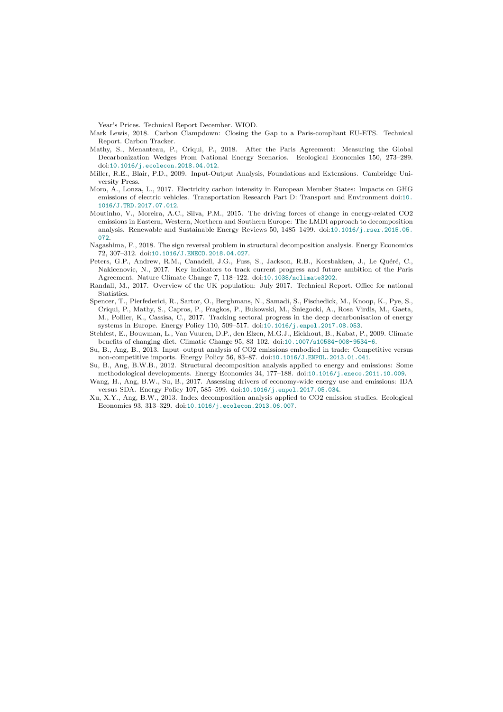Year's Prices. Technical Report December. WIOD.

<span id="page-17-10"></span>Mark Lewis, 2018. Carbon Clampdown: Closing the Gap to a Paris-compliant EU-ETS. Technical Report. Carbon Tracker.

- <span id="page-17-12"></span>Mathy, S., Menanteau, P., Criqui, P., 2018. After the Paris Agreement: Measuring the Global Decarbonization Wedges From National Energy Scenarios. Ecological Economics 150, 273–289. doi:[10.1016/j.ecolecon.2018.04.012](http://dx.doi.org/10.1016/j.ecolecon.2018.04.012).
- <span id="page-17-5"></span>Miller, R.E., Blair, P.D., 2009. Input-Output Analysis, Foundations and Extensions. Cambridge University Press.
- <span id="page-17-8"></span>Moro, A., Lonza, L., 2017. Electricity carbon intensity in European Member States: Impacts on GHG emissions of electric vehicles. Transportation Research Part D: Transport and Environment doi:[10.](http://dx.doi.org/10.1016/J.TRD.2017.07.012) [1016/J.TRD.2017.07.012](http://dx.doi.org/10.1016/J.TRD.2017.07.012).
- <span id="page-17-3"></span>Moutinho, V., Moreira, A.C., Silva, P.M., 2015. The driving forces of change in energy-related CO2 emissions in Eastern, Western, Northern and Southern Europe: The LMDI approach to decomposition analysis. Renewable and Sustainable Energy Reviews 50, 1485–1499. doi:[10.1016/j.rser.2015.05.](http://dx.doi.org/10.1016/j.rser.2015.05.072) [072](http://dx.doi.org/10.1016/j.rser.2015.05.072).
- <span id="page-17-13"></span>Nagashima, F., 2018. The sign reversal problem in structural decomposition analysis. Energy Economics 72, 307–312. doi:[10.1016/J.ENECO.2018.04.027](http://dx.doi.org/10.1016/J.ENECO.2018.04.027).
- <span id="page-17-4"></span>Peters, G.P., Andrew, R.M., Canadell, J.G., Fuss, S., Jackson, R.B., Korsbakken, J., Le Quéré, C., Nakicenovic, N., 2017. Key indicators to track current progress and future ambition of the Paris Agreement. Nature Climate Change 7, 118–122. doi:[10.1038/nclimate3202](http://dx.doi.org/10.1038/nclimate3202).
- <span id="page-17-7"></span>Randall, M., 2017. Overview of the UK population: July 2017. Technical Report. Office for national Statistics.
- <span id="page-17-11"></span>Spencer, T., Pierfederici, R., Sartor, O., Berghmans, N., Samadi, S., Fischedick, M., Knoop, K., Pye, S., Criqui, P., Mathy, S., Capros, P., Fragkos, P., Bukowski, M., Sniegocki, A., Rosa Virdis, M., Gaeta, ´ M., Pollier, K., Cassisa, C., 2017. Tracking sectoral progress in the deep decarbonisation of energy systems in Europe. Energy Policy 110, 509–517. doi:[10.1016/j.enpol.2017.08.053](http://dx.doi.org/10.1016/j.enpol.2017.08.053).
- <span id="page-17-9"></span>Stehfest, E., Bouwman, L., Van Vuuren, D.P., den Elzen, M.G.J., Eickhout, B., Kabat, P., 2009. Climate benefits of changing diet. Climatic Change 95, 83–102. doi:[10.1007/s10584-008-9534-6](http://dx.doi.org/10.1007/s10584-008-9534-6).
- <span id="page-17-6"></span>Su, B., Ang, B., 2013. Input–output analysis of CO2 emissions embodied in trade: Competitive versus non-competitive imports. Energy Policy 56, 83–87. doi:[10.1016/J.ENPOL.2013.01.041](http://dx.doi.org/10.1016/J.ENPOL.2013.01.041).
- <span id="page-17-0"></span>Su, B., Ang, B.W.B., 2012. Structural decomposition analysis applied to energy and emissions: Some methodological developments. Energy Economics 34, 177–188. doi:[10.1016/j.eneco.2011.10.009](http://dx.doi.org/10.1016/j.eneco.2011.10.009).
- <span id="page-17-1"></span>Wang, H., Ang, B.W., Su, B., 2017. Assessing drivers of economy-wide energy use and emissions: IDA versus SDA. Energy Policy 107, 585–599. doi:[10.1016/j.enpol.2017.05.034](http://dx.doi.org/10.1016/j.enpol.2017.05.034).
- <span id="page-17-2"></span>Xu, X.Y., Ang, B.W., 2013. Index decomposition analysis applied to CO2 emission studies. Ecological Economics 93, 313–329. doi:[10.1016/j.ecolecon.2013.06.007](http://dx.doi.org/10.1016/j.ecolecon.2013.06.007).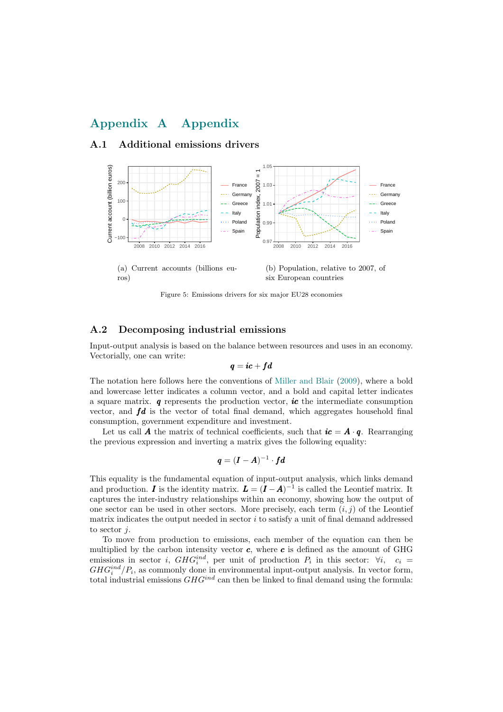# Appendix A Appendix

### A.1 Additional emissions drivers

<span id="page-18-0"></span>

Figure 5: Emissions drivers for six major EU28 economies

### <span id="page-18-1"></span>A.2 Decomposing industrial emissions

Input-output analysis is based on the balance between resources and uses in an economy. Vectorially, one can write:

$$
\bm{q}=\bm{i}\bm{c}+\bm{f}\bm{d}
$$

The notation here follows here the conventions of [Miller and Blair](#page-17-5) [\(2009\)](#page-17-5), where a bold and lowercase letter indicates a column vector, and a bold and capital letter indicates a square matrix.  $q$  represents the production vector, ic the intermediate consumption vector, and  $fd$  is the vector of total final demand, which aggregates household final consumption, government expenditure and investment.

Let us call **A** the matrix of technical coefficients, such that  $ic = A \cdot q$ . Rearranging the previous expression and inverting a matrix gives the following equality:

$$
\pmb{q} = (\pmb{I}-\pmb{A})^{-1} \cdot \pmb{f}\pmb{d}
$$

This equality is the fundamental equation of input-output analysis, which links demand and production. I is the identity matrix.  $\mathbf{L} = (\mathbf{I} - \mathbf{A})^{-1}$  is called the Leontief matrix. It captures the inter-industry relationships within an economy, showing how the output of one sector can be used in other sectors. More precisely, each term  $(i, j)$  of the Leontief matrix indicates the output needed in sector i to satisfy a unit of final demand addressed to sector  $i$ .

To move from production to emissions, each member of the equation can then be multiplied by the carbon intensity vector  $c$ , where  $c$  is defined as the amount of GHG emissions in sector *i*,  $GHG_i^{ind}$ , per unit of production  $P_i$  in this sector:  $\forall i$ ,  $c_i =$  $GHG_i^{ind}/P_i$ , as commonly done in environmental input-output analysis. In vector form, total industrial emissions  $GHG^{ind}$  can then be linked to final demand using the formula: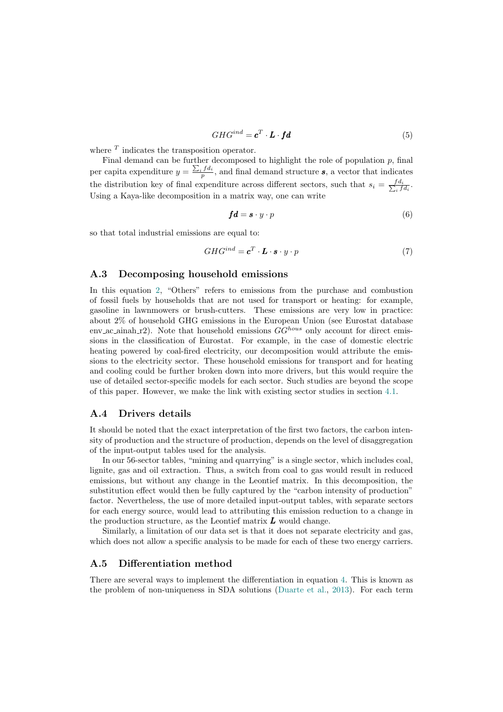$$
GHG^{ind} = \mathbf{c}^T \cdot \mathbf{L} \cdot \mathbf{fd} \tag{5}
$$

where  $<sup>T</sup>$  indicates the transposition operator.</sup>

Final demand can be further decomposed to highlight the role of population  $p$ , final per capita expenditure  $y = \frac{\sum_i f d_i}{n}$  $\frac{p}{p}$ , and final demand structure s, a vector that indicates the distribution key of final expenditure across different sectors, such that  $s_i = \frac{fd_i}{\sum_i f}$  $\frac{f\,d_i}{\int\limits_i f\,d_i}.$ Using a Kaya-like decomposition in a matrix way, one can write

<span id="page-19-1"></span>
$$
fd = s \cdot y \cdot p \tag{6}
$$

so that total industrial emissions are equal to:

$$
GHG^{ind} = \mathbf{c}^T \cdot \mathbf{L} \cdot \mathbf{s} \cdot y \cdot p \tag{7}
$$

#### <span id="page-19-0"></span>A.3 Decomposing household emissions

In this equation [2,](#page-7-0) "Others" refers to emissions from the purchase and combustion of fossil fuels by households that are not used for transport or heating: for example, gasoline in lawnmowers or brush-cutters. These emissions are very low in practice: about 2% of household GHG emissions in the European Union (see Eurostat database env ac ainah r2). Note that household emissions  $GG^{hours}$  only account for direct emissions in the classification of Eurostat. For example, in the case of domestic electric heating powered by coal-fired electricity, our decomposition would attribute the emissions to the electricity sector. These household emissions for transport and for heating and cooling could be further broken down into more drivers, but this would require the use of detailed sector-specific models for each sector. Such studies are beyond the scope of this paper. However, we make the link with existing sector studies in section [4.1.](#page-13-0)

### <span id="page-19-2"></span>A.4 Drivers details

It should be noted that the exact interpretation of the first two factors, the carbon intensity of production and the structure of production, depends on the level of disaggregation of the input-output tables used for the analysis.

In our 56-sector tables, "mining and quarrying" is a single sector, which includes coal, lignite, gas and oil extraction. Thus, a switch from coal to gas would result in reduced emissions, but without any change in the Leontief matrix. In this decomposition, the substitution effect would then be fully captured by the "carbon intensity of production" factor. Nevertheless, the use of more detailed input-output tables, with separate sectors for each energy source, would lead to attributing this emission reduction to a change in the production structure, as the Leontief matrix  $\boldsymbol{L}$  would change.

Similarly, a limitation of our data set is that it does not separate electricity and gas, which does not allow a specific analysis to be made for each of these two energy carriers.

### <span id="page-19-3"></span>A.5 Differentiation method

There are several ways to implement the differentiation in equation [4.](#page-7-2) This is known as the problem of non-uniqueness in SDA solutions [\(Duarte et al.,](#page-16-2) [2013\)](#page-16-2). For each term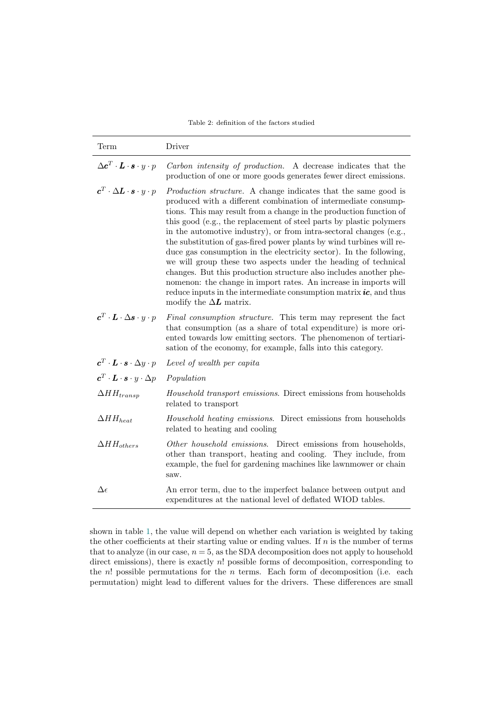Table 2: definition of the factors studied

<span id="page-20-0"></span>

| Term                                                                                                  | Driver                                                                                                                                                                                                                                                                                                                                                                                                                                                                                                                                                                                                                                                                                                                                                                                                                        |
|-------------------------------------------------------------------------------------------------------|-------------------------------------------------------------------------------------------------------------------------------------------------------------------------------------------------------------------------------------------------------------------------------------------------------------------------------------------------------------------------------------------------------------------------------------------------------------------------------------------------------------------------------------------------------------------------------------------------------------------------------------------------------------------------------------------------------------------------------------------------------------------------------------------------------------------------------|
| $\Delta \bm{c}^T \cdot \bm{L} \cdot \bm{s} \cdot y \cdot p$                                           | Carbon intensity of production. A decrease indicates that the<br>production of one or more goods generates fewer direct emissions.                                                                                                                                                                                                                                                                                                                                                                                                                                                                                                                                                                                                                                                                                            |
| $\boldsymbol{c}^T\cdot\Delta \boldsymbol{L}\cdot\boldsymbol{s}\cdot\boldsymbol{y}\cdot\boldsymbol{p}$ | <i>Production structure.</i> A change indicates that the same good is<br>produced with a different combination of intermediate consump-<br>tions. This may result from a change in the production function of<br>this good (e.g., the replacement of steel parts by plastic polymers)<br>in the automotive industry), or from intra-sectoral changes (e.g.,<br>the substitution of gas-fired power plants by wind turbines will re-<br>duce gas consumption in the electricity sector). In the following,<br>we will group these two aspects under the heading of technical<br>changes. But this production structure also includes another phe-<br>nomenon: the change in import rates. An increase in imports will<br>reduce inputs in the intermediate consumption matrix $ic$ , and thus<br>modify the $\Delta L$ matrix. |
| $\boldsymbol{c}^T\cdot\boldsymbol{L}\cdot\Delta\boldsymbol{s}\cdot\boldsymbol{y}\cdot\boldsymbol{p}$  | Final consumption structure. This term may represent the fact<br>that consumption (as a share of total expenditure) is more ori-<br>ented towards low emitting sectors. The phenomenon of tertiari-<br>sation of the economy, for example, falls into this category.                                                                                                                                                                                                                                                                                                                                                                                                                                                                                                                                                          |
| $c^T \cdot L \cdot s \cdot \Delta y \cdot p$                                                          | Level of wealth per capita                                                                                                                                                                                                                                                                                                                                                                                                                                                                                                                                                                                                                                                                                                                                                                                                    |
| $\boldsymbol{c}^T \cdot \boldsymbol{L} \cdot \boldsymbol{s} \cdot y \cdot \Delta p$                   | Population                                                                                                                                                                                                                                                                                                                                                                                                                                                                                                                                                                                                                                                                                                                                                                                                                    |
| $\Delta H H_{transp}$                                                                                 | <i>Household transport emissions.</i> Direct emissions from households<br>related to transport                                                                                                                                                                                                                                                                                                                                                                                                                                                                                                                                                                                                                                                                                                                                |
| $\Delta H H_{heat}$                                                                                   | Household heating emissions. Direct emissions from households<br>related to heating and cooling                                                                                                                                                                                                                                                                                                                                                                                                                                                                                                                                                                                                                                                                                                                               |
| $\Delta H H_{others}$                                                                                 | Other household emissions. Direct emissions from households,<br>other than transport, heating and cooling. They include, from<br>example, the fuel for gardening machines like lawnmower or chain<br>saw.                                                                                                                                                                                                                                                                                                                                                                                                                                                                                                                                                                                                                     |
| $\Delta \epsilon$                                                                                     | An error term, due to the imperfect balance between output and<br>expenditures at the national level of deflated WIOD tables.                                                                                                                                                                                                                                                                                                                                                                                                                                                                                                                                                                                                                                                                                                 |

shown in table [1,](#page-7-1) the value will depend on whether each variation is weighted by taking the other coefficients at their starting value or ending values. If  $n$  is the number of terms that to analyze (in our case,  $n = 5$ , as the SDA decomposition does not apply to household direct emissions), there is exactly n! possible forms of decomposition, corresponding to the  $n!$  possible permutations for the  $n$  terms. Each form of decomposition (i.e. each permutation) might lead to different values for the drivers. These differences are small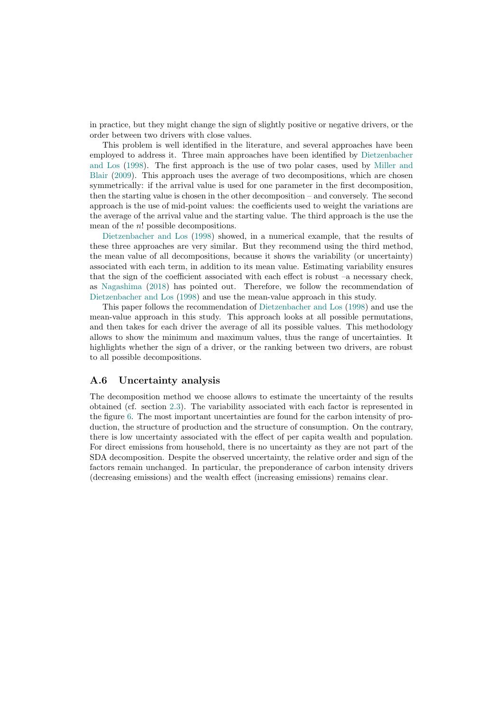in practice, but they might change the sign of slightly positive or negative drivers, or the order between two drivers with close values.

This problem is well identified in the literature, and several approaches have been employed to address it. Three main approaches have been identified by [Dietzenbacher](#page-16-10) [and Los](#page-16-10) [\(1998\)](#page-16-10). The first approach is the use of two polar cases, used by [Miller and](#page-17-5) [Blair](#page-17-5) [\(2009\)](#page-17-5). This approach uses the average of two decompositions, which are chosen symmetrically: if the arrival value is used for one parameter in the first decomposition, then the starting value is chosen in the other decomposition – and conversely. The second approach is the use of mid-point values: the coefficients used to weight the variations are the average of the arrival value and the starting value. The third approach is the use the mean of the n! possible decompositions.

[Dietzenbacher and Los](#page-16-10) [\(1998\)](#page-16-10) showed, in a numerical example, that the results of these three approaches are very similar. But they recommend using the third method, the mean value of all decompositions, because it shows the variability (or uncertainty) associated with each term, in addition to its mean value. Estimating variability ensures that the sign of the coefficient associated with each effect is robust –a necessary check, as [Nagashima](#page-17-13) [\(2018\)](#page-17-13) has pointed out. Therefore, we follow the recommendation of [Dietzenbacher and Los](#page-16-10) [\(1998\)](#page-16-10) and use the mean-value approach in this study.

This paper follows the recommendation of [Dietzenbacher and Los](#page-16-10) [\(1998\)](#page-16-10) and use the mean-value approach in this study. This approach looks at all possible permutations, and then takes for each driver the average of all its possible values. This methodology allows to show the minimum and maximum values, thus the range of uncertainties. It highlights whether the sign of a driver, or the ranking between two drivers, are robust to all possible decompositions.

### <span id="page-21-0"></span>A.6 Uncertainty analysis

The decomposition method we choose allows to estimate the uncertainty of the results obtained (cf. section [2.3\)](#page-6-0). The variability associated with each factor is represented in the figure [6.](#page-22-0) The most important uncertainties are found for the carbon intensity of production, the structure of production and the structure of consumption. On the contrary, there is low uncertainty associated with the effect of per capita wealth and population. For direct emissions from household, there is no uncertainty as they are not part of the SDA decomposition. Despite the observed uncertainty, the relative order and sign of the factors remain unchanged. In particular, the preponderance of carbon intensity drivers (decreasing emissions) and the wealth effect (increasing emissions) remains clear.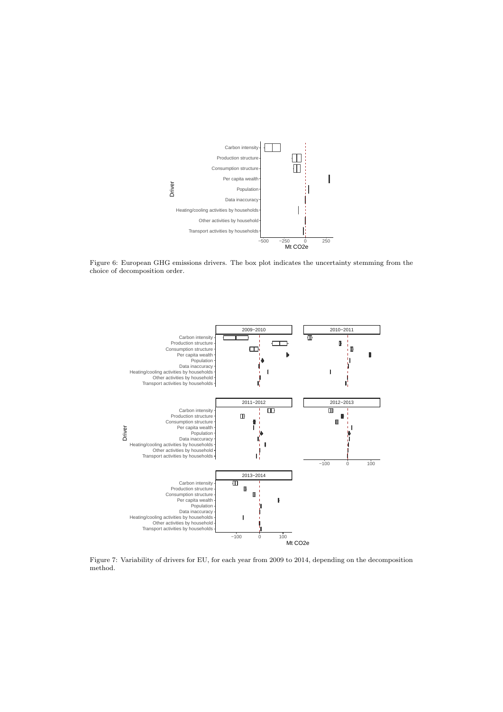<span id="page-22-0"></span>

Figure 6: European GHG emissions drivers. The box plot indicates the uncertainty stemming from the choice of decomposition order.



Figure 7: Variability of drivers for EU, for each year from 2009 to 2014, depending on the decomposition method.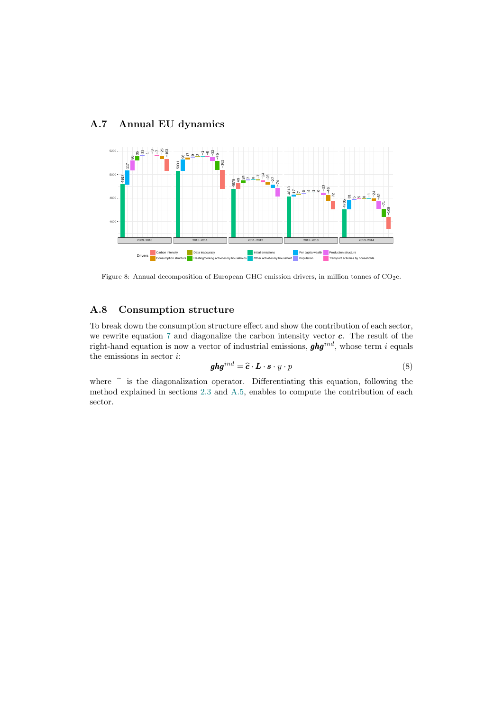# A.7 Annual EU dynamics

<span id="page-23-0"></span>

Figure 8: Annual decomposition of European GHG emission drivers, in million tonnes of  $CO<sub>2</sub>e$ .

# <span id="page-23-1"></span>A.8 Consumption structure

To break down the consumption structure effect and show the contribution of each sector, we rewrite equation [7](#page-19-1) and diagonalize the carbon intensity vector  $c$ . The result of the right-hand equation is now a vector of industrial emissions,  $ghg^{ind}$ , whose term i equals the emissions in sector  $i$ :

$$
ghg^{ind} = \hat{c} \cdot L \cdot s \cdot y \cdot p \tag{8}
$$

where  $\hat{\ }$  is the diagonalization operator. Differentiating this equation, following the method explained in sections [2.3](#page-6-0) and [A.5,](#page-19-3) enables to compute the contribution of each sector.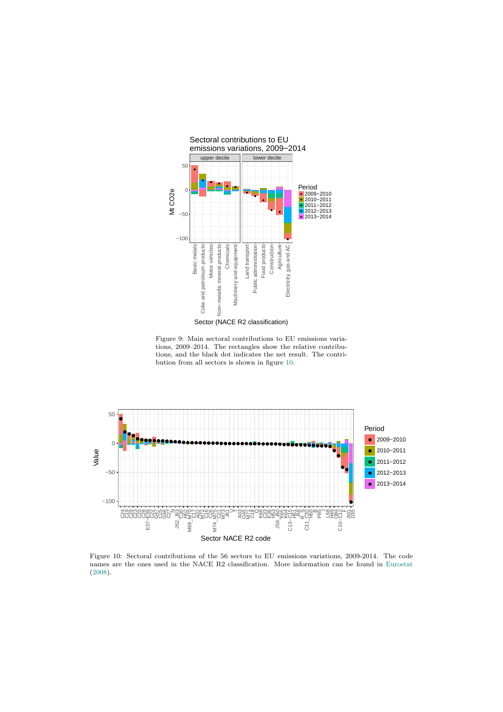<span id="page-24-0"></span>

Figure 9: Main sectoral contributions to EU emissions variations, 2009–2014. The rectangles show the relative contributions, and the black dot indicates the net result. The contribution from all sectors is shown in figure [10.](#page-24-1)

<span id="page-24-1"></span>

Figure 10: Sectoral contributions of the 56 sectors to EU emissions variations, 2009-2014. The code names are the ones used in the NACE R2 classification. More information can be found in [Eurostat](#page-16-24) [\(2008\)](#page-16-24).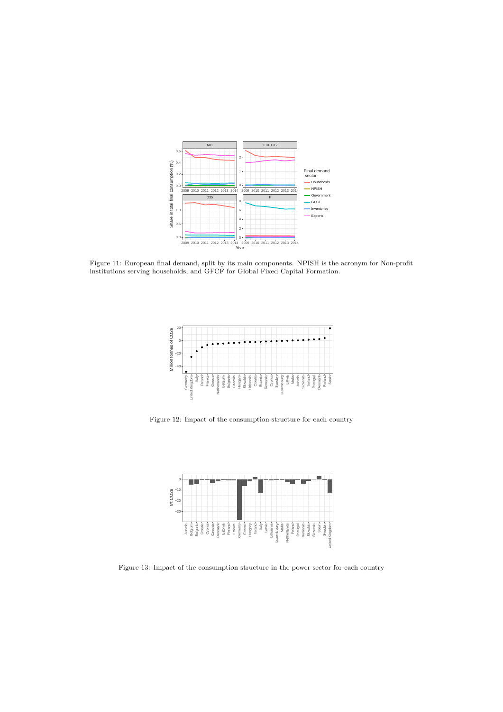<span id="page-25-0"></span>

<span id="page-25-1"></span>Figure 11: European final demand, split by its main components. NPISH is the acronym for Non-profit institutions serving households, and GFCF for Global Fixed Capital Formation.



Figure 12: Impact of the consumption structure for each country

<span id="page-25-2"></span>

Figure 13: Impact of the consumption structure in the power sector for each country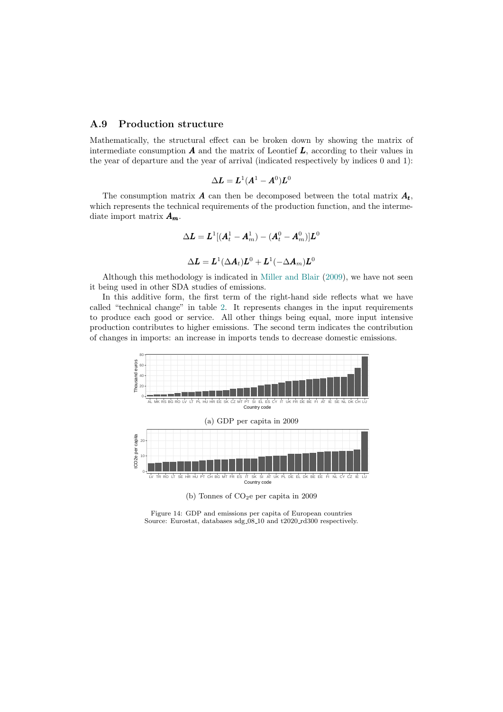### <span id="page-26-0"></span>A.9 Production structure

Mathematically, the structural effect can be broken down by showing the matrix of intermediate consumption  $A$  and the matrix of Leontief  $L$ , according to their values in the year of departure and the year of arrival (indicated respectively by indices 0 and 1):

$$
\Delta L = L^1(A^1 - A^0)L^0
$$

The consumption matrix  $\boldsymbol{A}$  can then be decomposed between the total matrix  $\boldsymbol{A}_t$ , which represents the technical requirements of the production function, and the intermediate import matrix  $A_m$ .

$$
\Delta \bm{L} = \bm{L}^1 [(\bm{A}_t^1 - \bm{A}_m^1) - (\bm{A}_t^0 - \bm{A}_m^0)]\bm{L}^0
$$
  

$$
\Delta \bm{L} = \bm{L}^1 (\Delta \bm{A}_t)\bm{L}^0 + \bm{L}^1 (-\Delta \bm{A}_m)\bm{L}^0
$$

Although this methodology is indicated in [Miller and Blair](#page-17-5) [\(2009\)](#page-17-5), we have not seen it being used in other SDA studies of emissions.

In this additive form, the first term of the right-hand side reflects what we have called "technical change" in table [2.](#page-20-0) It represents changes in the input requirements to produce each good or service. All other things being equal, more input intensive production contributes to higher emissions. The second term indicates the contribution of changes in imports: an increase in imports tends to decrease domestic emissions.



Figure 14: GDP and emissions per capita of European countries Source: Eurostat, databases sdg<sub>-08-10</sub> and t2020<sub>-rd300</sub> respectively.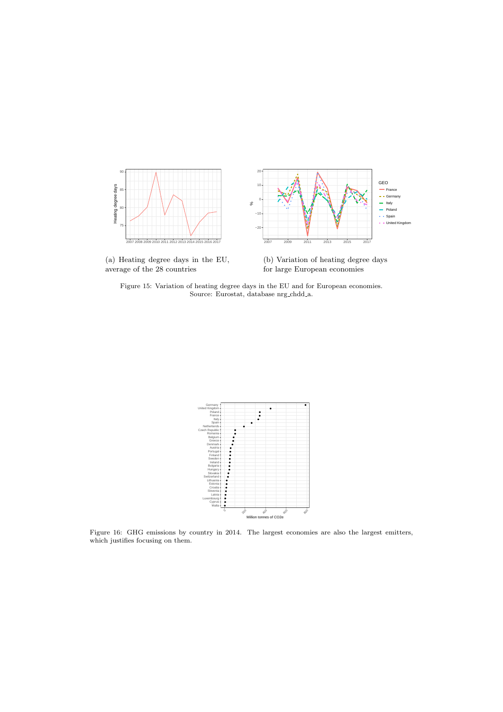<span id="page-27-0"></span>

(a) Heating degree days in the EU, average of the 28 countries

(b) Variation of heating degree days for large European economies

Figure 15: Variation of heating degree days in the EU and for European economies. Source: Eurostat, database nrg chdd a.



Figure 16: GHG emissions by country in 2014. The largest economies are also the largest emitters, which justifies focusing on them.